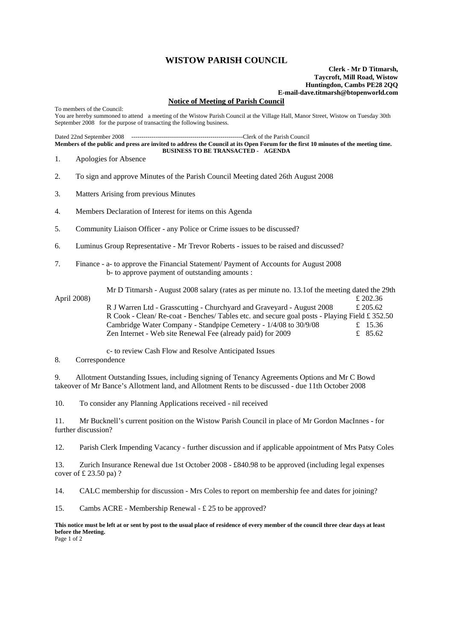## **WISTOW PARISH COUNCIL**

**Clerk - Mr D Titmarsh, Taycroft, Mill Road, Wistow Huntingdon, Cambs PE28 2QQ E-mail-dave.titmarsh@btopenworld.com**

## **Notice of Meeting of Parish Council**

To members of the Council: You are hereby summoned to attend a meeting of the Wistow Parish Council at the Village Hall, Manor Street, Wistow on Tuesday 30th September 2008 for the purpose of transacting the following business.

Dated 22nd September 2008 -------------------------------------------------------Clerk of the Parish Council

**Members of the public and press are invited to address the Council at its Open Forum for the first 10 minutes of the meeting time. BUSINESS TO BE TRANSACTED - AGENDA** 

- 1. Apologies for Absence
- 2. To sign and approve Minutes of the Parish Council Meeting dated 26th August 2008
- 3. Matters Arising from previous Minutes
- 4. Members Declaration of Interest for items on this Agenda
- 5. Community Liaison Officer any Police or Crime issues to be discussed?
- 6. Luminus Group Representative Mr Trevor Roberts issues to be raised and discussed?
- 7. Finance a- to approve the Financial Statement/ Payment of Accounts for August 2008 b- to approve payment of outstanding amounts :

 Mr D Titmarsh - August 2008 salary (rates as per minute no. 13.1of the meeting dated the 29th April 2008)  $\epsilon$  202.36 R J Warren Ltd - Grasscutting - Churchyard and Graveyard - August 2008 £ 205.62 R Cook - Clean/ Re-coat - Benches/ Tables etc. and secure goal posts - Playing Field £ 352.50 Cambridge Water Company - Standpipe Cemetery -  $1/4/08$  to 30/9/08 £ 15.36 Zen Internet - Web site Renewal Fee (already paid) for 2009  $\epsilon$  85.62

c- to review Cash Flow and Resolve Anticipated Issues

## 8. Correspondence

9. Allotment Outstanding Issues, including signing of Tenancy Agreements Options and Mr C Bowd takeover of Mr Bance's Allotment land, and Allotment Rents to be discussed - due 11th October 2008

10. To consider any Planning Applications received - nil received

11. Mr Bucknell's current position on the Wistow Parish Council in place of Mr Gordon MacInnes - for further discussion?

12. Parish Clerk Impending Vacancy - further discussion and if applicable appointment of Mrs Patsy Coles

13. Zurich Insurance Renewal due 1st October 2008 - £840.98 to be approved (including legal expenses cover of  $\pounds$  23.50 pa) ?

14. CALC membership for discussion - Mrs Coles to report on membership fee and dates for joining?

15. Cambs ACRE - Membership Renewal - £ 25 to be approved?

**This notice must be left at or sent by post to the usual place of residence of every member of the council three clear days at least before the Meeting.** Page 1 of 2